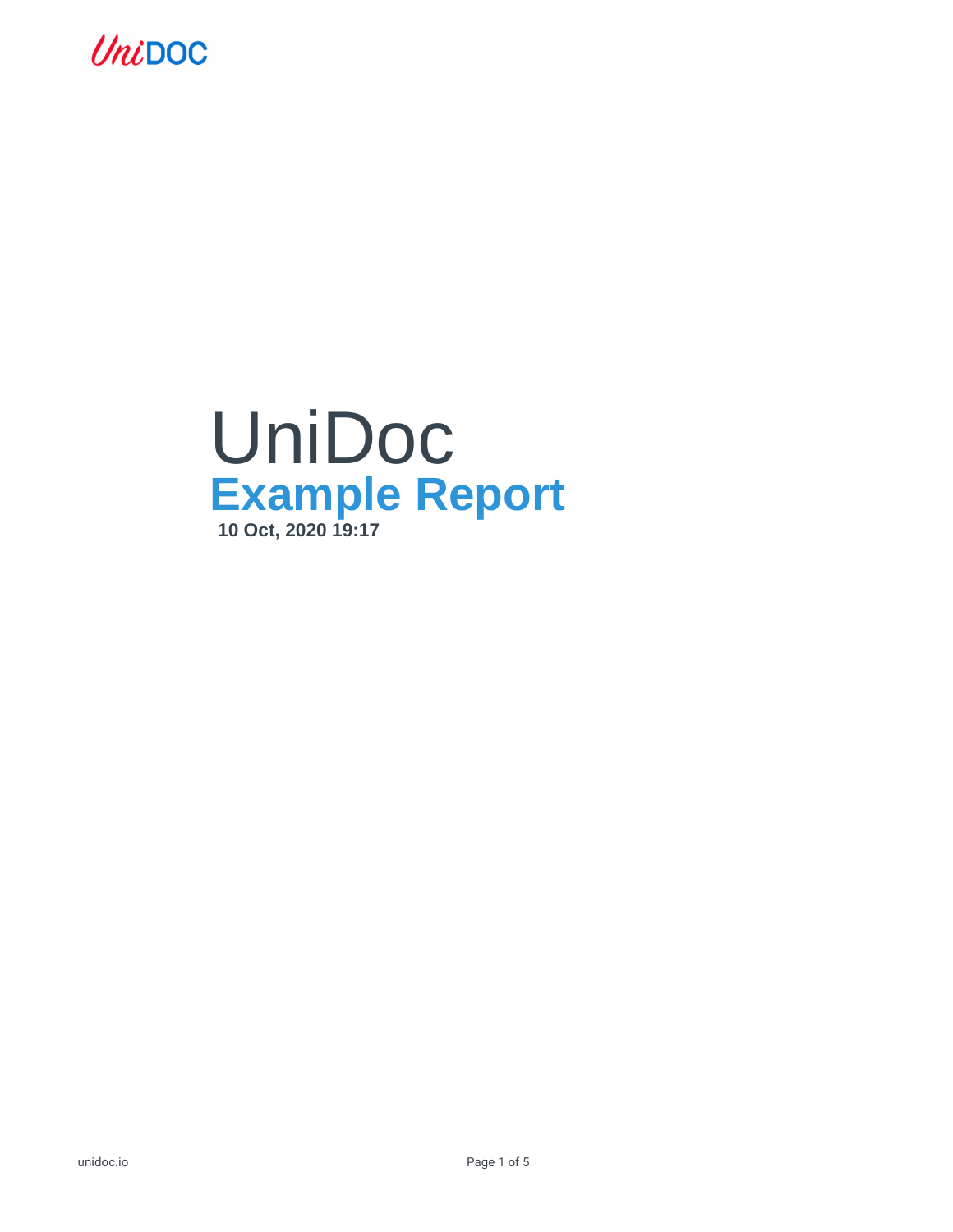

## UniDoc **Example Report 10 Oct, 2020 19:17**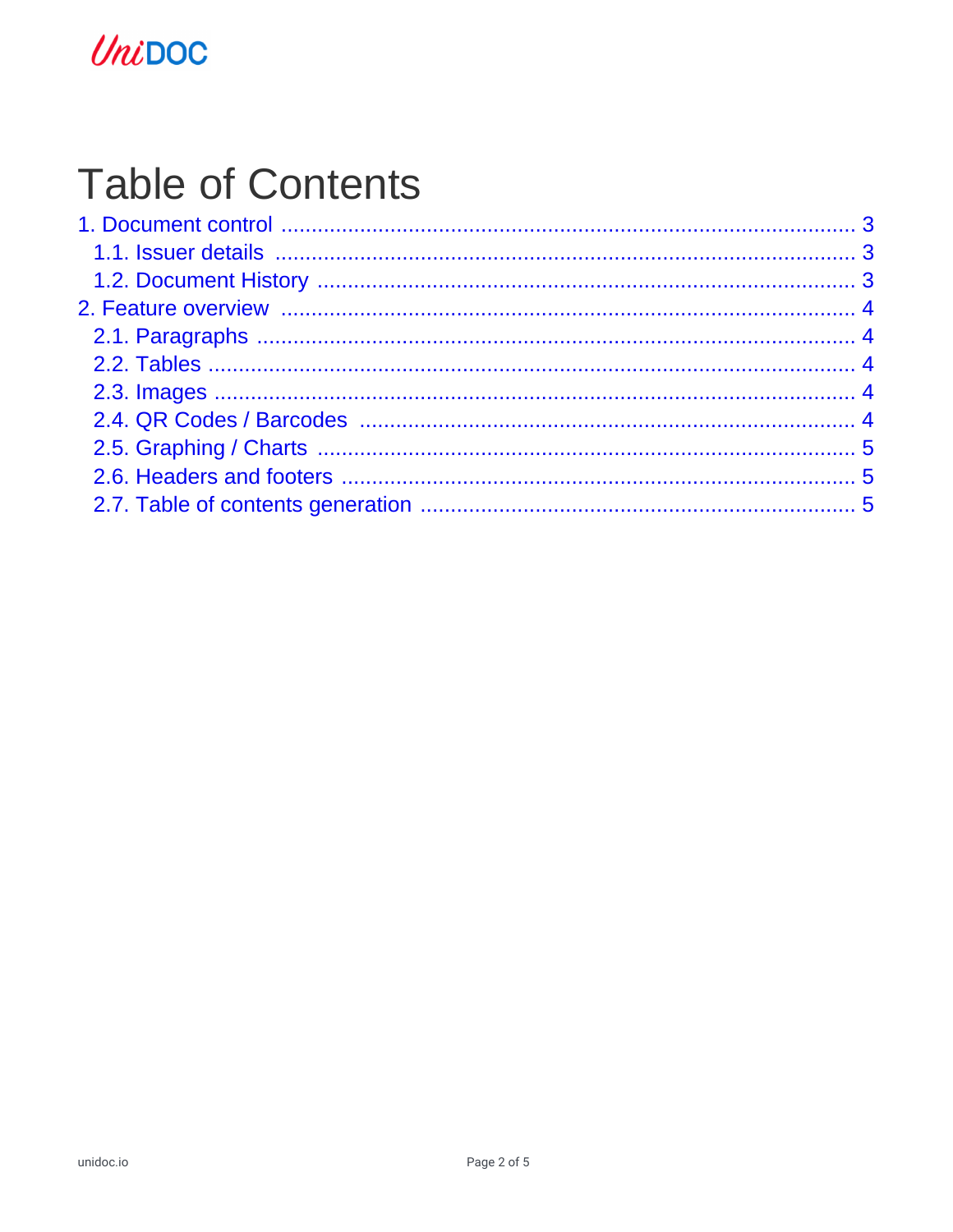## UniDOC

# **Table of Contents**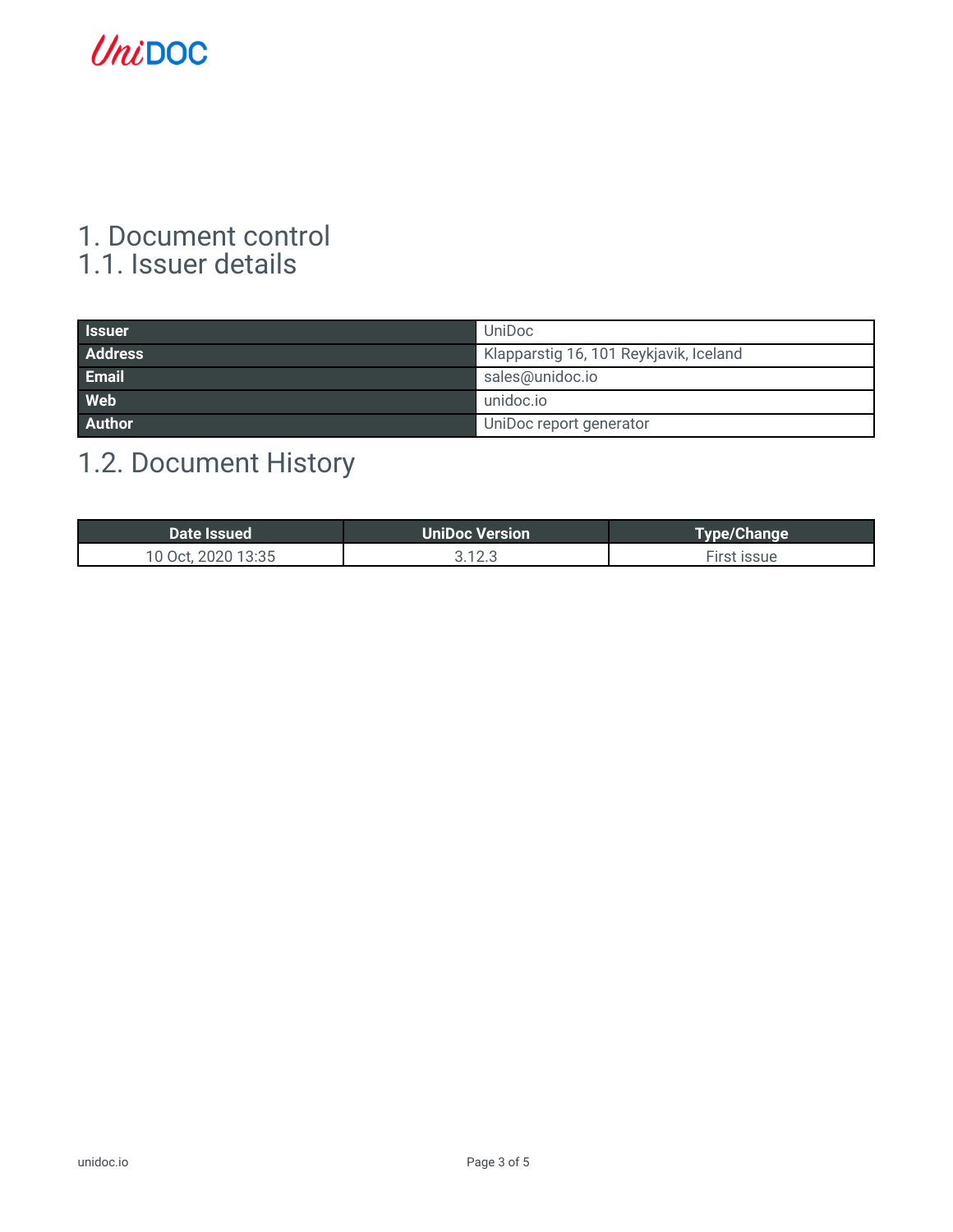## UniDOC

### <span id="page-2-1"></span><span id="page-2-0"></span>1. Document control 1.1. Issuer details

| <b>Issuer</b>  | UniDoc                                 |
|----------------|----------------------------------------|
| <b>Address</b> | Klapparstig 16, 101 Reykjavik, Iceland |
| <b>Email</b>   | sales@unidoc.io                        |
| <b>Web</b>     | unidoc.io                              |
| <b>Author</b>  | UniDoc report generator                |

## <span id="page-2-2"></span>1.2. Document History

| Date Issued        | <b>UniDoc Version</b> | <b>Type/Change</b> |
|--------------------|-----------------------|--------------------|
| 10 Oct, 2020 13:35 | 3.12.3                | First issue        |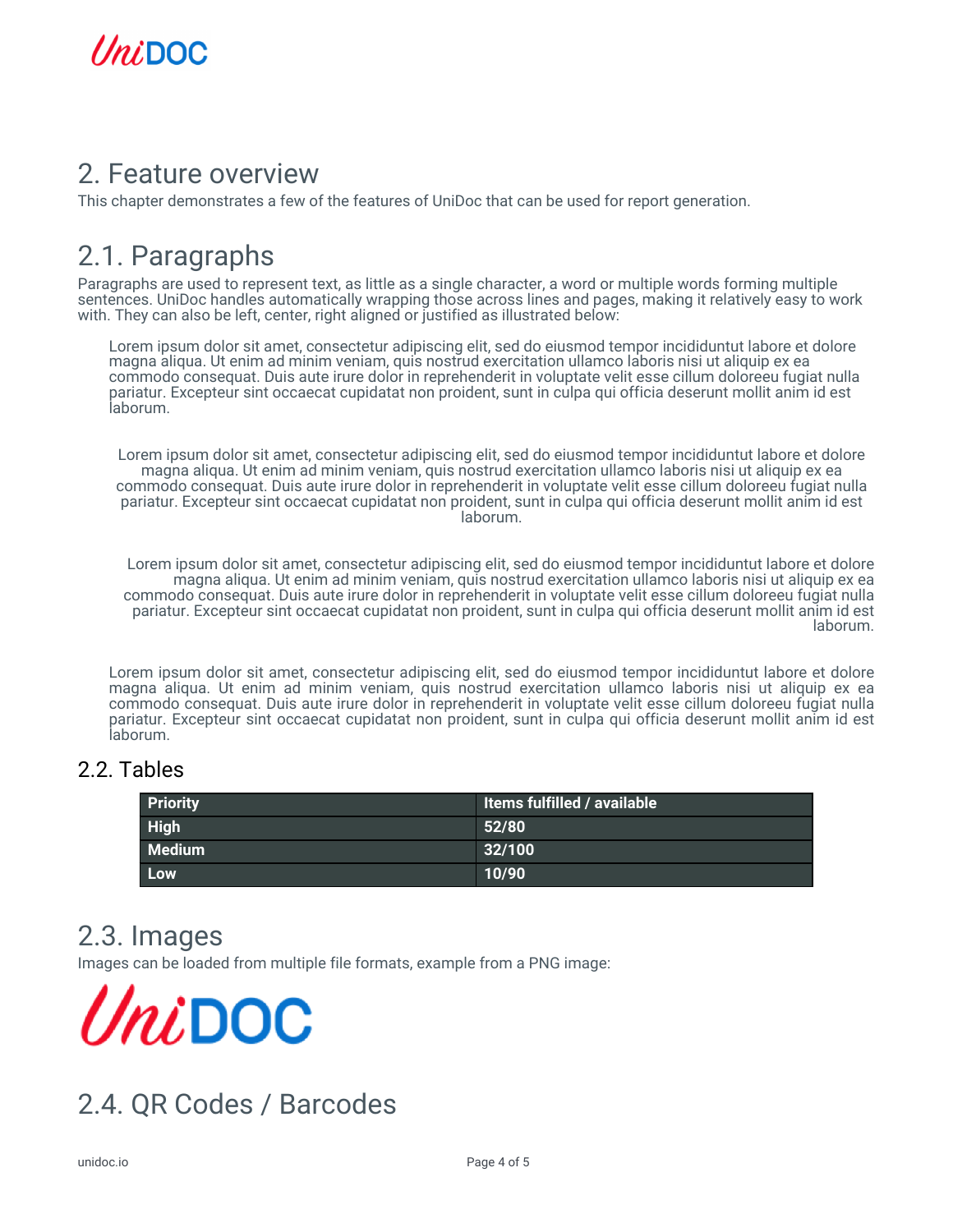

### <span id="page-3-0"></span>2. Feature overview

This chapter demonstrates a few of the features of UniDoc that can be used for report generation.

## <span id="page-3-1"></span>2.1. Paragraphs

Paragraphs are used to represent text, as little as a single character, a word or multiple words forming multiple sentences. UniDoc handles automatically wrapping those across lines and pages, making it relatively easy to work with. They can also be left, center, right aligned or justified as illustrated below:

Lorem ipsum dolor sit amet, consectetur adipiscing elit, sed do eiusmod tempor incididuntut labore et dolore magna aliqua. Ut enim ad minim veniam, quis nostrud exercitation ullamco laboris nisi ut aliquip ex ea commodo consequat. Duis aute irure dolor in reprehenderit in voluptate velit esse cillum doloreeu fugiat nulla pariatur. Excepteur sint occaecat cupidatat non proident, sunt in culpa qui officia deserunt mollit anim id est laborum.

Lorem ipsum dolor sit amet, consectetur adipiscing elit, sed do eiusmod tempor incididuntut labore et dolore magna aliqua. Ut enim ad minim veniam, quis nostrud exercitation ullamco laboris nisi ut aliquip ex ea commodo consequat. Duis aute irure dolor in reprehenderit in voluptate velit esse cillum doloreeu fugiat nulla pariatur. Excepteur sint occaecat cupidatat non proident, sunt in culpa qui officia deserunt mollit anim id est laborum.

Lorem ipsum dolor sit amet, consectetur adipiscing elit, sed do eiusmod tempor incididuntut labore et dolore magna aliqua. Ut enim ad minim veniam, quis nostrud exercitation ullamco laboris nisi ut aliquip ex ea commodo consequat. Duis aute irure dolor in reprehenderit in voluptate velit esse cillum doloreeu fugiat nulla pariatur. Excepteur sint occaecat cupidatat non proident, sunt in culpa qui officia deserunt mollit anim id est laborum.

Lorem ipsum dolor sit amet, consectetur adipiscing elit, sed do eiusmod tempor incididuntut labore et dolore magna aliqua. Ut enim ad minim veniam, quis nostrud exercitation ullamco laboris nisi ut aliquip ex ea commodo consequat. Duis aute irure dolor in reprehenderit in voluptate velit esse cillum doloreeu fugiat nulla pariatur. Excepteur sint occaecat cupidatat non proident, sunt in culpa qui officia deserunt mollit anim id est laborum.

#### <span id="page-3-2"></span>2.2. Tables

| <b>Priority</b> | Items fulfilled / available |
|-----------------|-----------------------------|
| <b>High</b>     | 52/80                       |
| <b>Medium</b>   | 32/100                      |
| Low             | 10/90                       |

### <span id="page-3-3"></span>2.3. Images

Images can be loaded from multiple file formats, example from a PNG image:

 $\mathit{Uni}$ DOC

## <span id="page-3-4"></span>2.4. QR Codes / Barcodes